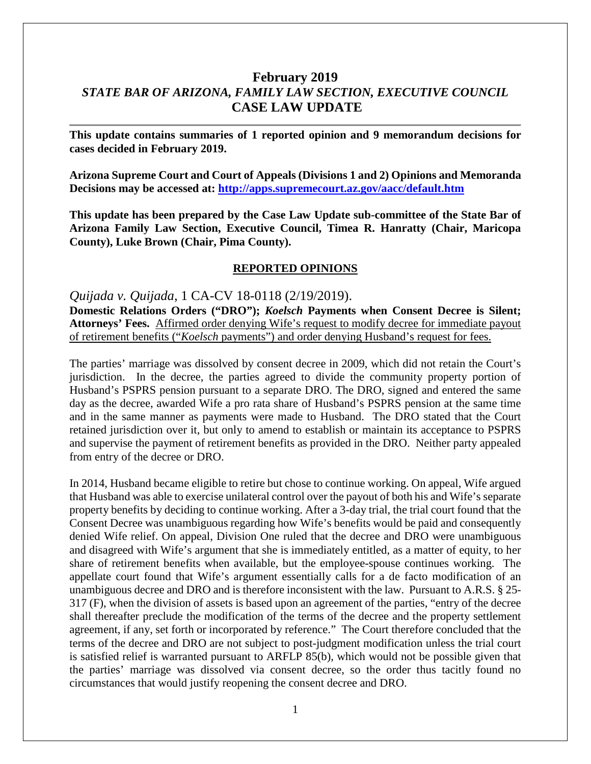# **February 2019** *STATE BAR OF ARIZONA, FAMILY LAW SECTION, EXECUTIVE COUNCIL* **CASE LAW UPDATE**

**This update contains summaries of 1 reported opinion and 9 memorandum decisions for cases decided in February 2019.**

**Arizona Supreme Court and Court of Appeals (Divisions 1 and 2) Opinions and Memoranda Decisions may be accessed at: <http://apps.supremecourt.az.gov/aacc/default.htm>**

**This update has been prepared by the Case Law Update sub-committee of the State Bar of Arizona Family Law Section, Executive Council, Timea R. Hanratty (Chair, Maricopa County), Luke Brown (Chair, Pima County).**

#### **REPORTED OPINIONS**

*Quijada v. Quijada*, 1 CA-CV 18-0118 (2/19/2019).

**Domestic Relations Orders ("DRO");** *Koelsch* **Payments when Consent Decree is Silent; Attorneys' Fees.** Affirmed order denying Wife's request to modify decree for immediate payout of retirement benefits ("*Koelsch* payments") and order denying Husband's request for fees.

The parties' marriage was dissolved by consent decree in 2009, which did not retain the Court's jurisdiction. In the decree, the parties agreed to divide the community property portion of Husband's PSPRS pension pursuant to a separate DRO. The DRO, signed and entered the same day as the decree, awarded Wife a pro rata share of Husband's PSPRS pension at the same time and in the same manner as payments were made to Husband. The DRO stated that the Court retained jurisdiction over it, but only to amend to establish or maintain its acceptance to PSPRS and supervise the payment of retirement benefits as provided in the DRO. Neither party appealed from entry of the decree or DRO.

In 2014, Husband became eligible to retire but chose to continue working. On appeal, Wife argued that Husband was able to exercise unilateral control over the payout of both his and Wife's separate property benefits by deciding to continue working. After a 3-day trial, the trial court found that the Consent Decree was unambiguous regarding how Wife's benefits would be paid and consequently denied Wife relief. On appeal, Division One ruled that the decree and DRO were unambiguous and disagreed with Wife's argument that she is immediately entitled, as a matter of equity, to her share of retirement benefits when available, but the employee-spouse continues working. The appellate court found that Wife's argument essentially calls for a de facto modification of an unambiguous decree and DRO and is therefore inconsistent with the law. Pursuant to A.R.S. § 25- 317 (F), when the division of assets is based upon an agreement of the parties, "entry of the decree shall thereafter preclude the modification of the terms of the decree and the property settlement agreement, if any, set forth or incorporated by reference." The Court therefore concluded that the terms of the decree and DRO are not subject to post-judgment modification unless the trial court is satisfied relief is warranted pursuant to ARFLP 85(b), which would not be possible given that the parties' marriage was dissolved via consent decree, so the order thus tacitly found no circumstances that would justify reopening the consent decree and DRO.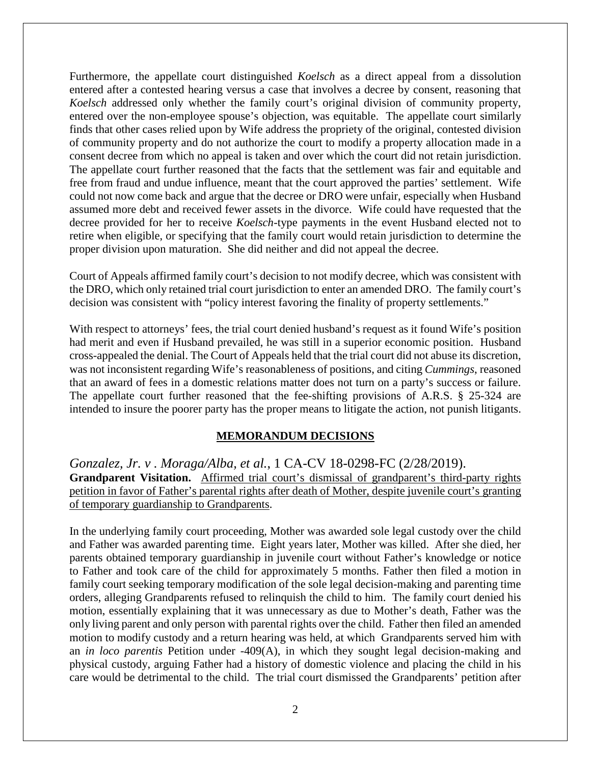Furthermore, the appellate court distinguished *Koelsch* as a direct appeal from a dissolution entered after a contested hearing versus a case that involves a decree by consent, reasoning that *Koelsch* addressed only whether the family court's original division of community property, entered over the non-employee spouse's objection, was equitable. The appellate court similarly finds that other cases relied upon by Wife address the propriety of the original, contested division of community property and do not authorize the court to modify a property allocation made in a consent decree from which no appeal is taken and over which the court did not retain jurisdiction. The appellate court further reasoned that the facts that the settlement was fair and equitable and free from fraud and undue influence, meant that the court approved the parties' settlement. Wife could not now come back and argue that the decree or DRO were unfair, especially when Husband assumed more debt and received fewer assets in the divorce. Wife could have requested that the decree provided for her to receive *Koelsch*-type payments in the event Husband elected not to retire when eligible, or specifying that the family court would retain jurisdiction to determine the proper division upon maturation. She did neither and did not appeal the decree.

Court of Appeals affirmed family court's decision to not modify decree, which was consistent with the DRO, which only retained trial court jurisdiction to enter an amended DRO. The family court's decision was consistent with "policy interest favoring the finality of property settlements."

With respect to attorneys' fees, the trial court denied husband's request as it found Wife's position had merit and even if Husband prevailed, he was still in a superior economic position. Husband cross-appealed the denial. The Court of Appeals held that the trial court did not abuse its discretion, was not inconsistent regarding Wife's reasonableness of positions, and citing *Cummings*, reasoned that an award of fees in a domestic relations matter does not turn on a party's success or failure. The appellate court further reasoned that the fee-shifting provisions of A.R.S. § 25-324 are intended to insure the poorer party has the proper means to litigate the action, not punish litigants.

### **MEMORANDUM DECISIONS**

*Gonzalez, Jr. v . Moraga/Alba, et al.*, 1 CA-CV 18-0298-FC (2/28/2019). Grandparent Visitation. Affirmed trial court's dismissal of grandparent's third-party rights petition in favor of Father's parental rights after death of Mother, despite juvenile court's granting of temporary guardianship to Grandparents.

In the underlying family court proceeding, Mother was awarded sole legal custody over the child and Father was awarded parenting time. Eight years later, Mother was killed. After she died, her parents obtained temporary guardianship in juvenile court without Father's knowledge or notice to Father and took care of the child for approximately 5 months. Father then filed a motion in family court seeking temporary modification of the sole legal decision-making and parenting time orders, alleging Grandparents refused to relinquish the child to him. The family court denied his motion, essentially explaining that it was unnecessary as due to Mother's death, Father was the only living parent and only person with parental rights over the child. Father then filed an amended motion to modify custody and a return hearing was held, at which Grandparents served him with an *in loco parentis* Petition under -409(A), in which they sought legal decision-making and physical custody, arguing Father had a history of domestic violence and placing the child in his care would be detrimental to the child. The trial court dismissed the Grandparents' petition after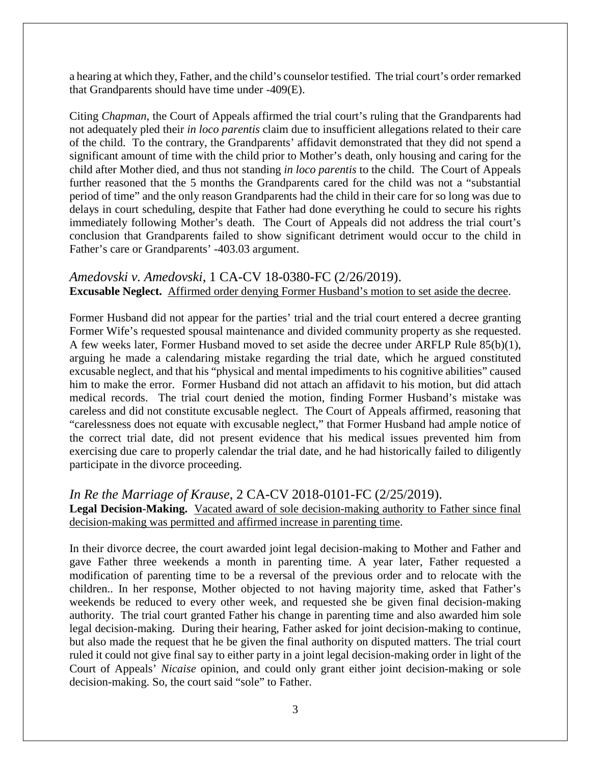a hearing at which they, Father, and the child's counselor testified. The trial court's order remarked that Grandparents should have time under -409(E).

Citing *Chapman*, the Court of Appeals affirmed the trial court's ruling that the Grandparents had not adequately pled their *in loco parentis* claim due to insufficient allegations related to their care of the child. To the contrary, the Grandparents' affidavit demonstrated that they did not spend a significant amount of time with the child prior to Mother's death, only housing and caring for the child after Mother died, and thus not standing *in loco parentis* to the child. The Court of Appeals further reasoned that the 5 months the Grandparents cared for the child was not a "substantial period of time" and the only reason Grandparents had the child in their care for so long was due to delays in court scheduling, despite that Father had done everything he could to secure his rights immediately following Mother's death. The Court of Appeals did not address the trial court's conclusion that Grandparents failed to show significant detriment would occur to the child in Father's care or Grandparents' -403.03 argument.

## *Amedovski v. Amedovski*, 1 CA-CV 18-0380-FC (2/26/2019). **Excusable Neglect.** Affirmed order denying Former Husband's motion to set aside the decree.

Former Husband did not appear for the parties' trial and the trial court entered a decree granting Former Wife's requested spousal maintenance and divided community property as she requested. A few weeks later, Former Husband moved to set aside the decree under ARFLP Rule 85(b)(1), arguing he made a calendaring mistake regarding the trial date, which he argued constituted excusable neglect, and that his "physical and mental impediments to his cognitive abilities" caused him to make the error. Former Husband did not attach an affidavit to his motion, but did attach medical records. The trial court denied the motion, finding Former Husband's mistake was careless and did not constitute excusable neglect. The Court of Appeals affirmed, reasoning that "carelessness does not equate with excusable neglect," that Former Husband had ample notice of the correct trial date, did not present evidence that his medical issues prevented him from exercising due care to properly calendar the trial date, and he had historically failed to diligently participate in the divorce proceeding.

# *In Re the Marriage of Krause*, 2 CA-CV 2018-0101-FC (2/25/2019).

**Legal Decision-Making.** Vacated award of sole decision-making authority to Father since final decision-making was permitted and affirmed increase in parenting time.

In their divorce decree, the court awarded joint legal decision-making to Mother and Father and gave Father three weekends a month in parenting time. A year later, Father requested a modification of parenting time to be a reversal of the previous order and to relocate with the children.. In her response, Mother objected to not having majority time, asked that Father's weekends be reduced to every other week, and requested she be given final decision-making authority. The trial court granted Father his change in parenting time and also awarded him sole legal decision-making. During their hearing, Father asked for joint decision-making to continue, but also made the request that he be given the final authority on disputed matters. The trial court ruled it could not give final say to either party in a joint legal decision-making order in light of the Court of Appeals' *Nicaise* opinion, and could only grant either joint decision-making or sole decision-making. So, the court said "sole" to Father.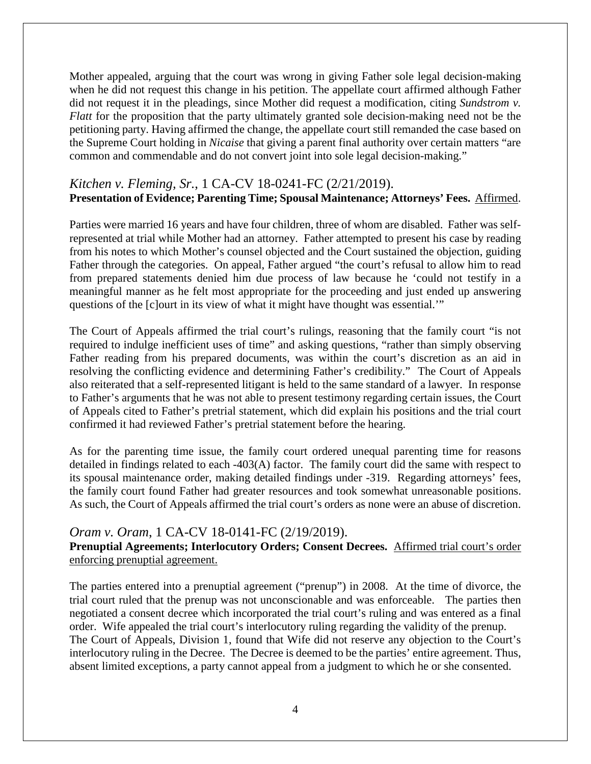Mother appealed, arguing that the court was wrong in giving Father sole legal decision-making when he did not request this change in his petition. The appellate court affirmed although Father did not request it in the pleadings, since Mother did request a modification, citing *Sundstrom v. Flatt* for the proposition that the party ultimately granted sole decision-making need not be the petitioning party. Having affirmed the change, the appellate court still remanded the case based on the Supreme Court holding in *Nicaise* that giving a parent final authority over certain matters "are common and commendable and do not convert joint into sole legal decision-making."

### *Kitchen v. Fleming, Sr.*, 1 CA-CV 18-0241-FC (2/21/2019). **Presentation of Evidence; Parenting Time; Spousal Maintenance; Attorneys' Fees.** Affirmed.

Parties were married 16 years and have four children, three of whom are disabled. Father was selfrepresented at trial while Mother had an attorney. Father attempted to present his case by reading from his notes to which Mother's counsel objected and the Court sustained the objection, guiding Father through the categories. On appeal, Father argued "the court's refusal to allow him to read from prepared statements denied him due process of law because he 'could not testify in a meaningful manner as he felt most appropriate for the proceeding and just ended up answering questions of the [c]ourt in its view of what it might have thought was essential.'"

The Court of Appeals affirmed the trial court's rulings, reasoning that the family court "is not required to indulge inefficient uses of time" and asking questions, "rather than simply observing Father reading from his prepared documents, was within the court's discretion as an aid in resolving the conflicting evidence and determining Father's credibility." The Court of Appeals also reiterated that a self-represented litigant is held to the same standard of a lawyer. In response to Father's arguments that he was not able to present testimony regarding certain issues, the Court of Appeals cited to Father's pretrial statement, which did explain his positions and the trial court confirmed it had reviewed Father's pretrial statement before the hearing.

As for the parenting time issue, the family court ordered unequal parenting time for reasons detailed in findings related to each -403(A) factor. The family court did the same with respect to its spousal maintenance order, making detailed findings under -319. Regarding attorneys' fees, the family court found Father had greater resources and took somewhat unreasonable positions. As such, the Court of Appeals affirmed the trial court's orders as none were an abuse of discretion.

#### *Oram v. Oram*, 1 CA-CV 18-0141-FC (2/19/2019).

**Prenuptial Agreements; Interlocutory Orders; Consent Decrees.** Affirmed trial court's order enforcing prenuptial agreement.

The parties entered into a prenuptial agreement ("prenup") in 2008. At the time of divorce, the trial court ruled that the prenup was not unconscionable and was enforceable. The parties then negotiated a consent decree which incorporated the trial court's ruling and was entered as a final order. Wife appealed the trial court's interlocutory ruling regarding the validity of the prenup. The Court of Appeals, Division 1, found that Wife did not reserve any objection to the Court's interlocutory ruling in the Decree. The Decree is deemed to be the parties' entire agreement. Thus, absent limited exceptions, a party cannot appeal from a judgment to which he or she consented.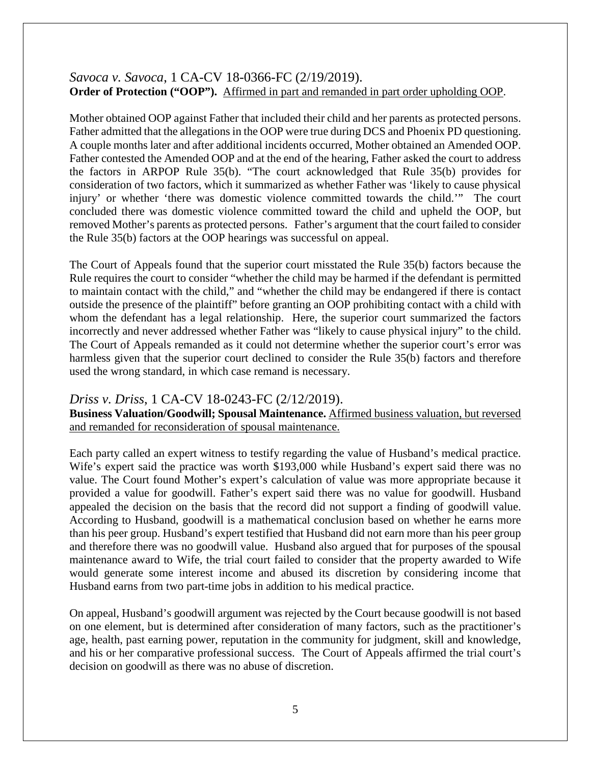### *Savoca v. Savoca*, 1 CA-CV 18-0366-FC (2/19/2019). **Order of Protection ("OOP").** Affirmed in part and remanded in part order upholding OOP.

Mother obtained OOP against Father that included their child and her parents as protected persons. Father admitted that the allegations in the OOP were true during DCS and Phoenix PD questioning. A couple months later and after additional incidents occurred, Mother obtained an Amended OOP. Father contested the Amended OOP and at the end of the hearing, Father asked the court to address the factors in ARPOP Rule 35(b). "The court acknowledged that Rule 35(b) provides for consideration of two factors, which it summarized as whether Father was 'likely to cause physical injury' or whether 'there was domestic violence committed towards the child.'" The court concluded there was domestic violence committed toward the child and upheld the OOP, but removed Mother's parents as protected persons. Father's argument that the court failed to consider the Rule 35(b) factors at the OOP hearings was successful on appeal.

The Court of Appeals found that the superior court misstated the Rule 35(b) factors because the Rule requires the court to consider "whether the child may be harmed if the defendant is permitted to maintain contact with the child," and "whether the child may be endangered if there is contact outside the presence of the plaintiff" before granting an OOP prohibiting contact with a child with whom the defendant has a legal relationship. Here, the superior court summarized the factors incorrectly and never addressed whether Father was "likely to cause physical injury" to the child. The Court of Appeals remanded as it could not determine whether the superior court's error was harmless given that the superior court declined to consider the Rule 35(b) factors and therefore used the wrong standard, in which case remand is necessary.

# *Driss v. Driss*, 1 CA-CV 18-0243-FC (2/12/2019).

**Business Valuation/Goodwill; Spousal Maintenance.** Affirmed business valuation, but reversed and remanded for reconsideration of spousal maintenance.

Each party called an expert witness to testify regarding the value of Husband's medical practice. Wife's expert said the practice was worth \$193,000 while Husband's expert said there was no value. The Court found Mother's expert's calculation of value was more appropriate because it provided a value for goodwill. Father's expert said there was no value for goodwill. Husband appealed the decision on the basis that the record did not support a finding of goodwill value. According to Husband, goodwill is a mathematical conclusion based on whether he earns more than his peer group. Husband's expert testified that Husband did not earn more than his peer group and therefore there was no goodwill value. Husband also argued that for purposes of the spousal maintenance award to Wife, the trial court failed to consider that the property awarded to Wife would generate some interest income and abused its discretion by considering income that Husband earns from two part-time jobs in addition to his medical practice.

On appeal, Husband's goodwill argument was rejected by the Court because goodwill is not based on one element, but is determined after consideration of many factors, such as the practitioner's age, health, past earning power, reputation in the community for judgment, skill and knowledge, and his or her comparative professional success. The Court of Appeals affirmed the trial court's decision on goodwill as there was no abuse of discretion.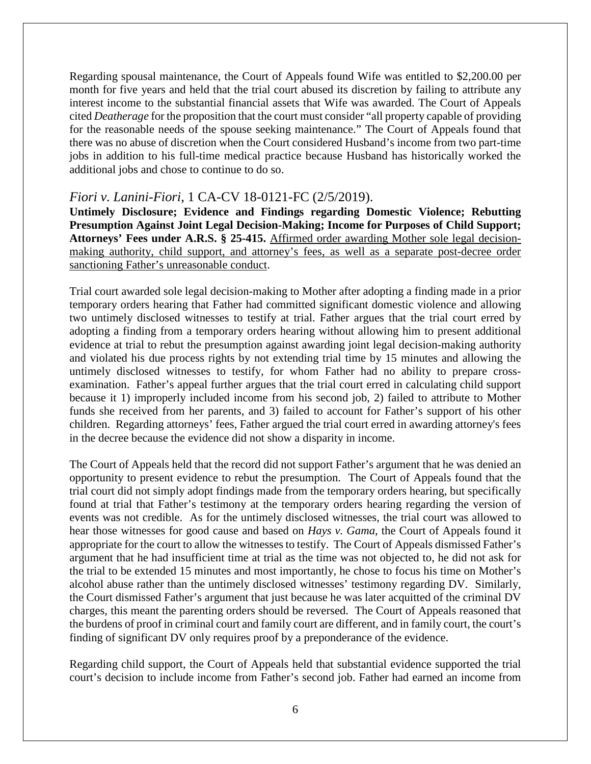Regarding spousal maintenance, the Court of Appeals found Wife was entitled to \$2,200.00 per month for five years and held that the trial court abused its discretion by failing to attribute any interest income to the substantial financial assets that Wife was awarded. The Court of Appeals cited *Deatherage* for the proposition that the court must consider "all property capable of providing for the reasonable needs of the spouse seeking maintenance." The Court of Appeals found that there was no abuse of discretion when the Court considered Husband's income from two part-time jobs in addition to his full-time medical practice because Husband has historically worked the additional jobs and chose to continue to do so.

### *Fiori v. Lanini-Fiori*, 1 CA-CV 18-0121-FC (2/5/2019).

**Untimely Disclosure; Evidence and Findings regarding Domestic Violence; Rebutting Presumption Against Joint Legal Decision-Making; Income for Purposes of Child Support; Attorneys' Fees under A.R.S. § 25-415.** Affirmed order awarding Mother sole legal decisionmaking authority, child support, and attorney's fees, as well as a separate post-decree order sanctioning Father's unreasonable conduct.

Trial court awarded sole legal decision-making to Mother after adopting a finding made in a prior temporary orders hearing that Father had committed significant domestic violence and allowing two untimely disclosed witnesses to testify at trial. Father argues that the trial court erred by adopting a finding from a temporary orders hearing without allowing him to present additional evidence at trial to rebut the presumption against awarding joint legal decision-making authority and violated his due process rights by not extending trial time by 15 minutes and allowing the untimely disclosed witnesses to testify, for whom Father had no ability to prepare crossexamination. Father's appeal further argues that the trial court erred in calculating child support because it 1) improperly included income from his second job, 2) failed to attribute to Mother funds she received from her parents, and 3) failed to account for Father's support of his other children. Regarding attorneys' fees, Father argued the trial court erred in awarding attorney's fees in the decree because the evidence did not show a disparity in income.

The Court of Appeals held that the record did not support Father's argument that he was denied an opportunity to present evidence to rebut the presumption. The Court of Appeals found that the trial court did not simply adopt findings made from the temporary orders hearing, but specifically found at trial that Father's testimony at the temporary orders hearing regarding the version of events was not credible. As for the untimely disclosed witnesses, the trial court was allowed to hear those witnesses for good cause and based on *Hays v. Gama*, the Court of Appeals found it appropriate for the court to allow the witnesses to testify. The Court of Appeals dismissed Father's argument that he had insufficient time at trial as the time was not objected to, he did not ask for the trial to be extended 15 minutes and most importantly, he chose to focus his time on Mother's alcohol abuse rather than the untimely disclosed witnesses' testimony regarding DV. Similarly, the Court dismissed Father's argument that just because he was later acquitted of the criminal DV charges, this meant the parenting orders should be reversed. The Court of Appeals reasoned that the burdens of proof in criminal court and family court are different, and in family court, the court's finding of significant DV only requires proof by a preponderance of the evidence.

Regarding child support, the Court of Appeals held that substantial evidence supported the trial court's decision to include income from Father's second job. Father had earned an income from